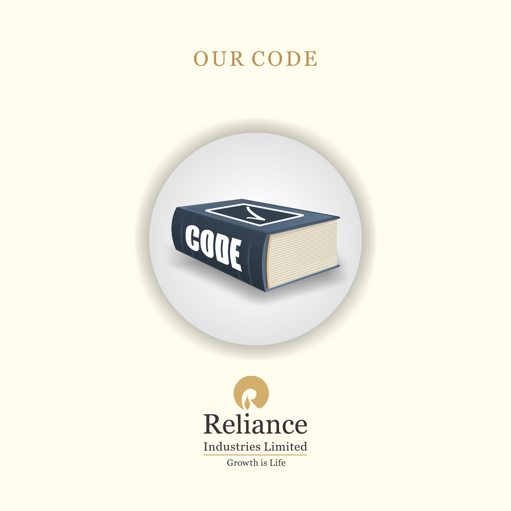## OUR CODE



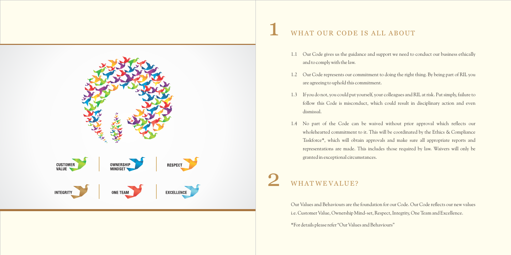

### WHAT OUR CODE IS ALL ABOUT

Our Values and Behaviours are the foundation for our Code. Our Code reflects our new values i.e. Customer Value, Ownership Mind-set, Respect, Integrity, One Team and Excellence. \*For details please refer "Our Values and Behaviours"

1.1 Our Code gives us the guidance and support we need to conduct our business ethically

1.2 Our Code represents our commitment to doing the right thing. By being part of RIL you

1.3 If you do not, you could put yourself, your colleagues and RIL at risk. Put simply, failure to follow this Code is misconduct, which could result in disciplinary action and even

- and to comply with the law.
- are agreeing to uphold this commitment.
- dismissal.
- granted in exceptional circumstances.

## WHAT WE VALUE?

1.4 No part of the Code can be waived without prior approval which reflects our wholehearted commitment to it. This will be coordinated by the Ethics & Compliance Taskforce\*, which will obtain approvals and make sure all appropriate reports and representations are made. This includes those required by law. Waivers will only be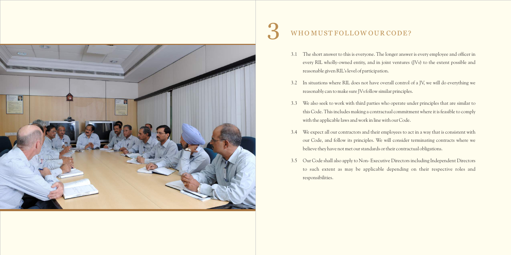

# WHO MUST FOLLOW OUR CODE?

3.1 The short answer to this is everyone. The longer answer is every employee and officer in every RIL wholly-owned entity, and in joint ventures (JVs) to the extent possible and

3.2 In situations where RIL does not have overall control of a JV, we will do everything we

3.3 We also seek to work with third parties who operate under principles that are similar to this Code. This includes making a contractual commitment where it is feasible to comply

- reasonable given RIL's level of participation.
- reasonably can to make sure JVs follow similar principles.
- with the applicable laws and work in line with our Code.
- believe they have not met our standards or their contractual obligations.
- responsibilities.

3.4 We expect all our contractors and their employees to act in a way that is consistent with our Code, and follow its principles. We will consider terminating contracts where we

3.5 Our Code shall also apply to Non- Executive Directors including Independent Directors to such extent as may be applicable depending on their respective roles and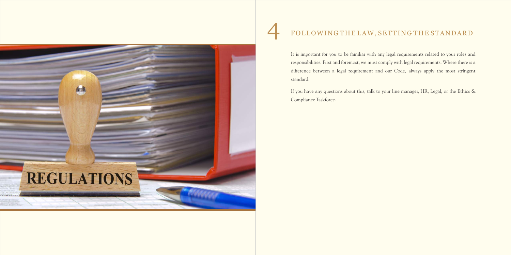4

It is important for you to be familiar with any legal requirements related to your roles and responsibilities. First and foremost, we must comply with legal requirements. Where there is a difference between a legal requirement and our Code, always apply the most stringent standard.

If you have any questions about this, talk to your line manager, HR, Legal, or the Ethics & Compliance Taskforce.



# FOLLOWING THE LAW, SETTING THE STANDARD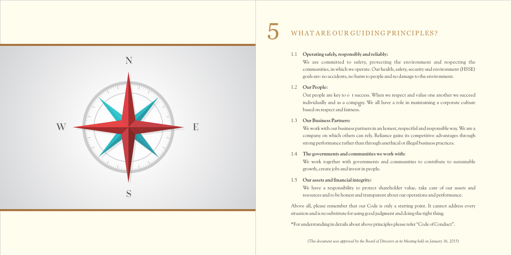5

- 1.1 **Operating safely, responsibly and reliably:**
- 1.2 **Our People:**

We are committed to safety, protecting the environment and respecting the communities, in which we operate. Our health, safety, security and environment (HSSE) goals are: no accidents, no harm to people and no damage to the environment.

Our people are key to o r success. When we respect and value one another we succeed u individually and as a company. We all have a role in maintaining a corporate culture based on respect and fairness.

1.3 **Our Business Partners:**

We work with our business partners in an honest, respectful and responsible way. We are a company on which others can rely. Reliance gains its competitive advantages through strong performance rather than through unethical or illegal business practices.

We work together with governments and communities to contribute to sustainable

- 1.4 **The governments and communities we work with:** growth, create jobs and invest in people.
- 1.5 **Our assets and financial integrity:**

We have a responsibility to protect shareholder value, take care of our assets and resources and to be honest and transparent about our operations and performance.

Above all, please remember that our Code is only a starting point. It cannot address every situation and is no substitute for using good judgment and doing the right thing.

\*For understanding in details about above principles please refer "Code of Conduct".



### WHAT ARE OUR GUIDING PRINCIPLES?

*(This document was approved by the Board of Directors at its Meeting held on January 16, 2015)*